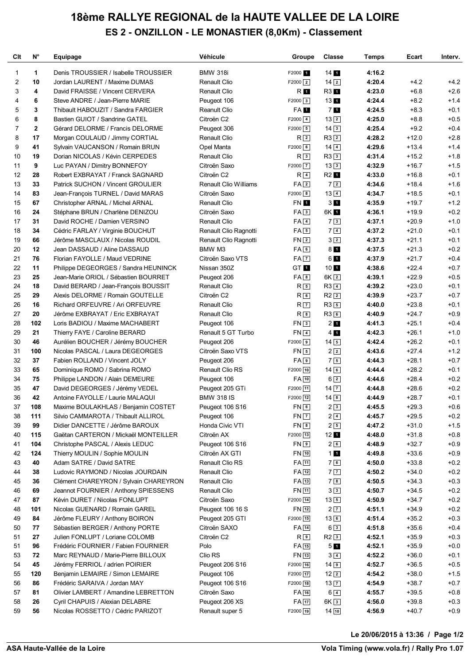## **18ème RALLYE REGIONAL de la HAUTE VALLEE DE LA LOIRE ES 2 - ONZILLON - LE MONASTIER (8,0Km) - Classement**

| Clt            | $N^{\circ}$    | Equipage                                                              | Véhicule                     | Groupe               | <b>Classe</b>     | <b>Temps</b>     | Ecart              | Interv.          |
|----------------|----------------|-----------------------------------------------------------------------|------------------------------|----------------------|-------------------|------------------|--------------------|------------------|
| 1              | 1              | Denis TROUSSIER / Isabelle TROUSSIER                                  | <b>BMW 318i</b>              | F2000 1              | 14 <sub>1</sub>   | 4:16.2           |                    |                  |
| $\overline{2}$ | 10             | Jordan LAURENT / Maxime DUMAS                                         | <b>Renault Clio</b>          | $F2000$ $2$          | $14\sqrt{2}$      | 4:20.4           | $+4.2$             | $+4.2$           |
| 3              | 4              | David FRAISSE / Vincent CERVERA                                       | Renault Clio                 | R 1                  | R3 1              | 4:23.0           | $+6.8$             | $+2.6$           |
| 4              | 6              | Steve ANDRE / Jean-Pierre MARIE                                       | Peugeot 106                  | $F2000$ 3            | 13 <sub>1</sub>   | 4:24.4           | $+8.2$             | $+1.4$           |
| 5              | 3              | Thibault HABOUZIT / Sandra FARGIER                                    | Reanult Clio                 | FA 1                 | 7 <sub>1</sub>    | 4:24.5           | $+8.3$             | $+0.1$           |
| 6              | 8              | Bastien GUIOT / Sandrine GATEL                                        | Citroën C2                   | $F2000$ $\boxed{4}$  | 132               | 4:25.0           | $+8.8$             | $+0.5$           |
| 7              | $\overline{2}$ | Gérard DELORME / Francis DELORME                                      | Peugeot 306                  | $F2000$ 5            | $14\sqrt{3}$      | 4:25.4           | $+9.2$             | $+0.4$           |
| 8              | 17             | Morgan COULAUD / Jimmy CORTIAL                                        | <b>Renault Clio</b>          | R <sub>2</sub>       | $R3$ <sup>2</sup> | 4:28.2           | $+12.0$            | $+2.8$           |
| 9              | 41             | Sylvain VAUCANSON / Romain BRUN                                       | Opel Manta                   | $F2000$ 6            | $14\sqrt{4}$      | 4:29.6           | $+13.4$            | $+1.4$           |
| 10             | 19             | Dorian NICOLAS / Kévin CERPEDES                                       | Renault Clio                 | R <sub>3</sub>       | $R3$ <sup>3</sup> | 4:31.4           | $+15.2$            | $+1.8$           |
| 11             | 9              | Luc PAYAN / Dimitry BONNEFOY                                          | Citroën Saxo                 | $F2000$ $7$          | 133               | 4:32.9           | $+16.7$            | $+1.5$           |
| 12             | 28             | Robert EXBRAYAT / Franck SAGNARD                                      | Citroën C2                   | $R\sqrt{4}$          | $R2$ 1            | 4:33.0           | $+16.8$            | $+0.1$           |
| 13             | 33             | Patrick SUCHON / Vincent GROULIER                                     | <b>Renault Clio Williams</b> | FA <sub>2</sub>      | 72                | 4:34.6           | $+18.4$            | $+1.6$           |
| 14             | 83             | Jean-François TURNEL / David MARAS                                    | Citroën Saxo                 | $F2000$ 8            | $13\sqrt{4}$      | 4:34.7           | $+18.5$            | $+0.1$           |
| 15             | 67             | Christopher ARNAL / Michel ARNAL                                      | Renault Clio                 | FN 1                 | 3 <sub>1</sub>    | 4:35.9           | $+19.7$            | $+1.2$           |
| 16             | 24             | Stéphane BRUN / Charlène DENIZOU                                      | Citroën Saxo                 | FA3                  | 6K 1              | 4:36.1           | $+19.9$            | $+0.2$           |
| 17             | 31             | David ROCHE / Damien VERSINO                                          | <b>Renault Clio</b>          | $FA\overline{4}$     | 73                | 4:37.1           | $+20.9$            | $+1.0$           |
| 18             | 34             | Cédric FARLAY / Virginie BOUCHUT                                      | Renault Clio Ragnotti        | $FA$ 5               | 74                | 4:37.2           | $+21.0$            | $+0.1$           |
| 19             | 66             | Jérôme MASCLAUX / Nicolas ROUDIL                                      | Renault Clio Ragnotti        | FN <sub>2</sub>      | $3\sqrt{2}$       | 4:37.3           | $+21.1$            | $+0.1$           |
| 20             | 12             | Jean DASSAUD / Aline DASSAUD                                          | BMW M3                       | FA6                  | 8 <sub>1</sub>    | 4:37.5           | $+21.3$            | $+0.2$           |
| 21             | 76             | Florian FAYOLLE / Maud VEDRINE                                        | Citroën Saxo VTS             | $FA$ $7$             | 6 1               | 4:37.9           | $+21.7$            | $+0.4$           |
| 22             | 11             | Philippe DEGEORGES / Sandra HEUNINCK                                  | Nissan 350Z                  | GT <sub>1</sub>      | 10 <sub>1</sub>   | 4:38.6           | $+22.4$            | $+0.7$           |
| 23             | 25             | Jean-Marie ORIOL / Sébastien BOURRET                                  | Peugeot 206                  | $FA$ $8$             | $6K$ $2$          | 4:39.1           | $+22.9$            | $+0.5$           |
| 24             | 18             | David BERARD / Jean-François BOUSSIT                                  | Renault Clio                 | $R_{5}$              | $R3$ $4$          | 4:39.2           | $+23.0$            | $+0.1$           |
| 25             | 29             | Alexis DELORME / Romain GOUTELLE                                      | Citroën C2                   | $R_{6}$              | $R2$ <sup>2</sup> | 4:39.9           | $+23.7$            | $+0.7$           |
| 26             | 16             | Richard ORFEUVRE / Ari ORFEUVRE                                       | <b>Renault Clio</b>          | R <sub>7</sub>       | R35               | 4:40.0           | $+23.8$            | $+0.1$           |
| 27             | 20             | Jérôme EXBRAYAT / Eric EXBRAYAT                                       | <b>Renault Clio</b>          | $R^{8}$              | $R3$ 6            | 4:40.9           | $+24.7$            | $+0.9$           |
| 28             | 102            | Loris BADIOU / Maxime MACHABERT                                       | Peugeot 106                  | FN3                  | 2 <sub>1</sub>    | 4:41.3           | $+25.1$            | $+0.4$           |
| 29             | 21             | Thierry FAYE / Caroline BERARD                                        | Renault 5 GT Turbo           | $FN$ 4               | $4 \overline{1}$  | 4:42.3           | $+26.1$            | $+1.0$           |
| 30             | 46             | Aurélien BOUCHER / Jérémy BOUCHER                                     | Peugeot 206                  | $F2000$ 9            | $14\sqrt{5}$      | 4:42.4           | $+26.2$            | $+0.1$           |
| 31             | 100            | Nicolas PASCAL / Laura DEGEORGES                                      | Citroën Saxo VTS             | $FN$ 5               | 22                | 4:43.6           | $+27.4$            | $+1.2$           |
| 32             | 37             | Fabien ROLLAND / Vincent JOLY                                         | Peugeot 206                  | FA9                  | 75                | 4:44.3           | $+28.1$            | $+0.7$           |
| 33             | 65             | Dominique ROMO / Sabrina ROMO                                         | Renault Clio RS              | F2000 10             | $14$ 6            | 4:44.4           | $+28.2$            | $+0.1$           |
| 34             | 75             | Philippe LANDON / Alain DEMEURE                                       | Peugeot 106                  | FA 10                | $6\sqrt{2}$       | 4:44.6           | $+28.4$            | $+0.2$           |
| 35             | 47             | David DEGEORGES / Jérémy VEDEL                                        | Peugeot 205 GTi              | F2000 11             | $14$ $\boxed{7}$  | 4:44.8           | $+28.6$            | $+0.2$           |
| 36             | 42             | Antoine FAYOLLE / Laurie MALAQUI                                      | <b>BMW 318 IS</b>            | F2000 12             | $14\sqrt{8}$      | 4:44.9           | $+28.7$            | $+0.1$           |
| 37             | 108            | Maxime BOULAKHLAS / Benjamin COSTET                                   | Peugeot 106 S16              | $FN$ 6               | 23                | 4:45.5           | $+29.3$            | $+0.6$           |
| 38             | 111            | Silvio CAMMAROTA / Thibault ALLIROL                                   | Peugeot 106                  | $FN$ $7$             | $2\sqrt{4}$       | 4:45.7           | $+29.5$            | $+0.2$           |
| 39             | 99             | Didier DANCETTE / Jérôme BAROUX                                       | Honda Civic VTI              | $FN$ $8$             | 25                | 4:47.2           | $+31.0$            | $+1.5$           |
| 40             | 115            | Gaëtan CARTERON / Mickaël MONTEILLER                                  | Citroën AX                   | $F2000$ $\boxed{13}$ | $12$ 1            | 4:48.0           | $+31.8$            | $+0.8$           |
| 41             | 104            | Christophe PASCAL / Alexis LEDUC                                      | Peugeot 106 S16              | FN <sub>9</sub>      | 26                | 4:48.9           | $+32.7$            | $+0.9$           |
| 42             | 124            | Thierry MOULIN / Sophie MOULIN                                        | Citroën AX GTI               | FN 10                | 11                | 4:49.8           | $+33.6$            | $+0.9$           |
| 43             | 40             | Adam SATRE / David SATRE                                              | Renault Clio RS              | $FA$ $11$            | 76                | 4:50.0           | $+33.8$            | $+0.2$           |
| 44             | 38             | Ludovic RAYMOND / Nicolas JOURDAIN                                    | Renault Clio<br>Renault Clio | FA 12                | 77                | 4:50.2           | $+34.0$<br>$+34.3$ | $+0.2$           |
| 45             | 36<br>69       | Clément CHAREYRON / Sylvain CHAREYRON                                 | Renault Clio                 | $FA$ $13$<br>FN 11   | 73<br>33          | 4:50.5<br>4:50.7 | $+34.5$            | $+0.3$           |
| 46<br>47       | 87             | Jeannot FOURNIER / Anthony SPIESSENS<br>Kévin DURET / Nicolas FONLUPT | Citroën Saxo                 | $F2000$ 14           | $13\boxed{5}$     | 4:50.9           | $+34.7$            | $+0.2$<br>$+0.2$ |
| 48             | 101            | Nicolas GUENARD / Romain GAREL                                        | Peugeot 106 16 S             | $FN$ $12$            | $2\sqrt{7}$       | 4:51.1           | $+34.9$            | $+0.2$           |
| 49             | 84             | Jérôme FLEURY / Anthony BOIRON                                        | Peugeot 205 GTI              | F2000 15             | $13$ 6            | 4:51.4           | $+35.2$            | $+0.3$           |
| 50             | 77             | Sébastien BERGER / Anthony PORTE                                      | Citroën SAXO                 | FA 14                | $6\sqrt{3}$       | 4:51.8           | $+35.6$            | $+0.4$           |
| 51             | 27             | Julien FONLUPT / Loriane COLOMB                                       | Citroën C2                   | R <sub>9</sub>       | $R2$ 3            | 4:52.1           | $+35.9$            | $+0.3$           |
| 51             | 96             | Frédéric FOURNIER / Fabien FOURNIER                                   | Polo                         | FA 15                | 5 <sub>1</sub>    | 4:52.1           | $+35.9$            | $+0.0$           |
| 53             | 72             | Marc REYNAUD / Marie-Pierre BILLOUX                                   | Clio RS                      | FN 13                | $3\sqrt{4}$       | 4:52.2           | $+36.0$            | $+0.1$           |
| 54             | 45             | Jérémy FERRIOL / adrien POIRIER                                       | Peugeot 206 S16              | $F2000$ 16           | $14$ $9$          | 4:52.7           | $+36.5$            | $+0.5$           |
| 55             | 120            | Benjamin LEMAIRE / Simon LEMAIRE                                      | Peugeot 106                  | F2000 17             | $12\sqrt{2}$      | 4:54.2           | $+38.0$            | $+1.5$           |
| 56             | 86             | Frédéric SARAIVA / Jordan MAY                                         | Peugeot 106 S16              | $F2000$ 18           | $13\overline{7}$  | 4:54.9           | $+38.7$            | $+0.7$           |
| 57             | 81             | Olivier LAMBERT / Amandine LEBRETTON                                  | Citroën Saxo                 | $FA$ 16              | $6\vert 4\rangle$ | 4:55.7           | $+39.5$            | $+0.8$           |
| 58             | 26             | Cyril CHAPUIS / Alexian DELABRE                                       | Peugeot 206 XS               | FA 17                | 6K <sub>3</sub>   | 4:56.0           | $+39.8$            | $+0.3$           |
| 59             | 56             | Nicolas ROSSETTO / Cédric PARIZOT                                     | Renault super 5              | F2000 19             | $14$ $10$         | 4:56.9           | $+40.7$            | $+0.9$           |

**Le 20/06/2015 à 13:36 / Page 1/2**